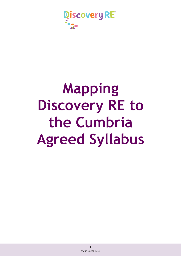

# **Mapping Discovery RE to the Cumbria Agreed Syllabus**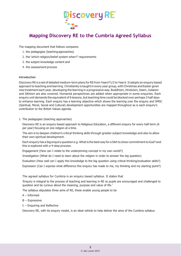

# **Mapping Discovery RE to the Cumbria Agreed Syllabus**

The mapping document that follows compares:

- 1. the pedagogies (teachingapproaches)
- 2. the 'which religion/belief system when?' requirements
- 3. the subject knowledge content and
- 4. the assessment process

#### **Introduction**

Discovery RE is a set of detailed medium-term plans for RE from Years F1/2 to Year 6. It adopts an enquiry based approach to teaching and learning. Christianity is taught in every year group, with Christmas and Easter given new treatment each year, developing the learning in a progressive way. Buddhism, Hinduism, Islam, Judaism and Sikhism are also covered. Humanist perspectives are added when appropriate in some enquiries. Each enquiry unit demands the equivalent of 6 lessons, but teaching time could be blocked over perhaps 3 half days to enhance learning. Each enquiry has a learning objective which shows the learning over the enquiry and SMSC (Spiritual, Moral, Social and Cultural) development opportunities are mapped throughout as is each enquiry's contribution to the British Values agenda.

1. The pedagogies (teaching approaches)

Discovery RE is an enquiry-based approach to Religious Education, a different enquiry for every half-term (6 per year) focusing on one religion at a time.

The aim is to deepen children's critical thinking skills through greater subject knowledge and also to allow their own spiritual development.

Each enquiry has a big enquiry question e.g. What is the best way for a Sikh to show commitment to God? and this is explored with a 4-step process:

Engagement (How can I relate to the underpinning concept in my own world?)

Investigation (What do I need to learn about the religion in order to answer the big question)

Evaluation (How well can I apply this knowledge to the big question using critical thinking/evaluation skills?)

Expression (Can I express what difference this enquiry has made to me, my thinking and my starting point?)

The agreed syllabus for Cumbria is an enquiry based syllabus. It states that

'Enquiry is integral to the process of teaching and learning in RE so pupils are encouraged and challenged to question and be curious about the meaning, purpose and value of life.'

The syllabus stipulates three aims of RE, these enable young people to be

- A Informed
- B Expressive
- C Enquiring and Reflective

Discovery RE, with its enquiry model, is an ideal vehicle to help deliver the aims of the Cumbria syllabus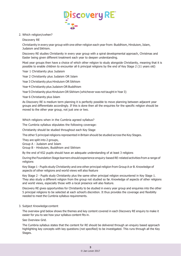

2. Which religion/swhen?

Discovery RE

Christianity in every year group with one other religion each year from: Buddhism, Hinduism, Islam, Judaism and Sikhism.

Discovery RE studies Christianity in every year group with a spiral developmental approach, Christmas and Easter being given different treatment each year to deepen understanding.

Most year groups then have a choice of which other religion to study alongside Christianity, meaning that it is possible to enable children to encounter all 6 principal religions by the end of Key Stage 2 (11 years old)

Year 1 Christianity plus Judaism

Year 2 Christianity plus Judaism OR Islam

Year 3 Christianity plus Hinduism OR Sikhism

Year 4 Christianity plus Judaism OR Buddhism

Year 5 Christianity plus Hinduism OR Sikhism (whichever was not taught in Year 3)

Year 6 Christianity plus Islam

As Discovery RE is medium term planning it is perfectly possible to move planning between adjacent year groups and differentiate accordingly. If this is done then all the enquiries for the specific religion should be moved to the other year group, not just one or two.

Which religions when in the Cumbria agreed syllabus?

The Cumbria syllabus stipulates the following coverage:

Christianity should be studied throughout each Key Stage

The other 5 principal religions represented in Britain should be studied across the Key Stages.

They are split into 2 groups,

Group A - Judaism and Islam

Group B - Hinduism, Buddhism and Sikhism

By the end of KS2 pupils should have an adequate understanding of at least 3 religions

During the Foundation Stage learners should experience enquiry-based RE-related activities from a range of religions

Key Stage 1 - Pupils study Christianity and one other principal religion from Group A or B. Knowledge of aspects of other religions and world views will also feature

Key Stage 2 - Pupils study Christianity plus the same other principal religion encountered in Key Stage 1. They also study a different religion from the group not studied so far. Knowledge of aspects of other religions and world views, especially those with a local presence will also feature.

Discovery RE gives opportunities for Christianity to be studied in every year group and enquiries into the other 5 principal religions to be selected at each school's discretion. It thus provides the coverage and flexibility needed to meet the Cumbria syllabus requirements.

3. Subject Knowledge content

The overview grid below shows the themes and key content covered in each Discovery RE enquiry to make it easier for you to see how your syllabus content fits in.

See Overview Grid.

The Cumbria syllabus states that the content for RE should be delivered through an enquiry based approach highlighting key concepts with key questions (not specified) to be investigated. This runs through all the Key Stages.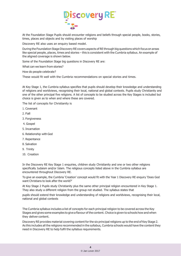

At the Foundation Stage Pupils should encounter religions and beliefs through special people, books, stories, times, places and objects and by visiting places of worship

Discovery RE also uses an enquiry based model.

During the Foundation Stage Discovery RE covers aspects of RE through big questions which focus on areas like special people, places, times and stories – this is consistent with the Cumbria syllabus. An example of the aligned coverage is shown below.

Some of the Foundation Stage big questions in Discovery RE are:

What can we learn from stories?

How do people celebrate?

These would fit well with the Cumbria recommendations on special stories and times.

At Key Stage 1, the Cumbria syllabus specifies that pupils should develop their knowledge and understanding of religions and worldviews, recognising their local, national and global contexts. Pupils study Christianity and one of the other principal five religions. A list of concepts to be studied across the Key Stages is included but choice is given as to when and where these are covered.

The list of concepts for Christianity is

- 1. Covenant
- 2. Fall
- 3. Forgiveness
- 4. Gospel
- 5. Incarnation
- 6. Relationship with God
- 7. Repentance
- 8. Salvation
- 9. Trinity
- 10. Creation

In the Discovery RE Key Stage 1 enquiries, children study Christianity and one or two other religions specifically Judaism and/or Islam. The religious concepts listed above in the Cumbria syllabus are encountered throughout Discovery RE.

To give an example, the Cumbria 'Creation' concept would fit with the Year 1 Discovery RE enquiry 'Does God want Christians to look after the world?'

At Key Stage 2 Pupils study Christianity plus the same other principal religion encountered in Key Stage 1. They also study a different religion from the group not studied. The syllabus states that

pupils should extend their knowledge and understanding of religions and worldviews, recognising their local, national and global contexts

The Cumbria syllabus includes a list of concepts for each principal religion to be covered across the Key Stages and gives some examples to give a flavour of the content. Choice is given to schools how and when they deliver content.

Discovery RE provides material covering content for the six principal religions up to the end of Key Stage 2. As this includes all the religions recommended in the syllabus, Cumbria schools would have the content they need in Discovery RE to help fulfil the syllabus requirements.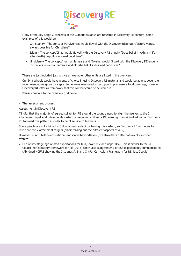

Many of the Key Stage 2 concepts in the Cumbria syllabus are reflected in Discovery RE content; some examples of this would be

- Christianity The concept 'Forgiveness' would fit well with the Discovery RE enquiry 'Is forgiveness always possible for Christians?
- Islam The concept 'Jihad' would fit well with the Discovery RE enquiry 'Does belief in Akhirah (life after death) help Muslims lead good lives?
- Hinduism The concepts' Karma, Samsara and Moksha' would fit well with the Discovery RE enquiry 'Do beliefs in Karma, Samsara and Moksha help Hindus lead good lives?'

These are just included just to give an example; other units are listed in the overview.

Cumbria schools would have plenty of choice in using Discovery RE material and would be able to cover the recommended religious concepts. Some areas may need to be topped up to ensure total coverage, however Discovery RE offers a framework that this content could be delivered in.

Please compare to the overview grid below.

4. The assessment process

#### Assessment in Discovery RE

Mindful that the majority of agreed syllabi for RE around the country used to align themselves to the 2 attainment target and 8-level scale system of assessing children's RE learning, the original edition of Discovery RE followed this pattern in order to be of service to teachers.

Some people are still obliged to follow agreed syllabi containing this system, so Discovery RE continues to reference the 2 attainment targets (albeit teasing out the different aspects of AT2).

However, mindful of the educational landscape 'beyond levels', we also offer an alternative colour-coded system:

• End of key stage age-related expectations for KS1, lower KS2 and upper KS2. This is similar to the RE Council non-statutory framework for RE (2013) which also suggests end of KS3 expectations, summarised as: (Abridged NCFRE showing the 3 strands A, B and C. (For Curriculum Framework for RE, just Google).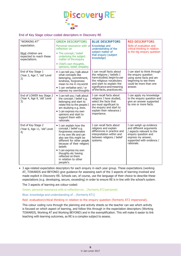

#### End of Key Stage colour-coded descriptors in Discovery RE

| "WORKING AT"                                                  | <b>GREEN DESCRIPTORS</b>                                                                                                                                                                                                                                                                                        | <b>BLUE DESCRIPTORS</b>                                                                                                                                                                                 | <b>RED DESCRIPTORS</b>                                                                                                                                                   |
|---------------------------------------------------------------|-----------------------------------------------------------------------------------------------------------------------------------------------------------------------------------------------------------------------------------------------------------------------------------------------------------------|---------------------------------------------------------------------------------------------------------------------------------------------------------------------------------------------------------|--------------------------------------------------------------------------------------------------------------------------------------------------------------------------|
| expectation.                                                  | Personal resonance with or<br>reflection on                                                                                                                                                                                                                                                                     | Knowledge and<br>understanding of the                                                                                                                                                                   | Skills of evaluation and<br>critical thinking in relation                                                                                                                |
| Most children are<br>expected to reach these<br>expectations. | • The concept / belief<br>underlying the subject<br>matter of the enquiry                                                                                                                                                                                                                                       | subject matter of<br>that enquiry (subject<br>knowledge)                                                                                                                                                | to the big enquiry question                                                                                                                                              |
|                                                               | • Child's own thoughts,<br>opinions, belief, empathy.                                                                                                                                                                                                                                                           |                                                                                                                                                                                                         |                                                                                                                                                                          |
| End of Key Stage 1<br>(Year 2, Age 7, 'old' Level<br>2)       | · I can tell you / talk about<br>what concepts like<br>belonging, commitment,<br>kindness, forgiveness<br>mean to me in my world<br>• I can verbalise and / or<br>express my own thoughts                                                                                                                       | I can recall facts about<br>the religions / beliefs I<br>have studied, begin to use<br>the religious vocabulary<br>and start to explain the<br>significance and meaning<br>of the facts, practices etc. | I can start to think through<br>the enquiry question<br>using some facts and am<br>beginning to see there<br>could be more than one<br>answer.                           |
| End of LOWER key Stage 2<br>(Year 4, Age 9, 'old' Level<br>3) | · I can tell you / talk about<br>the concept / belief e.g.<br>belonging and start to<br>relate this to the people I<br>am studying e.g. Jews.<br>• I can express my own<br>opinions and start to<br>support them with<br>rationale.                                                                             | I can recall facts about<br>religions I have studied,<br>select the facts that<br>are most significant to<br>the enquiry and start to<br>explain their relevance /<br>importance.                       | I can apply my knowledge<br>to the enquiry question and<br>give an answer supported<br>by one or more facts.                                                             |
| End of Key Stage 2<br>(Year 6, Age 11, 'old' Level<br>4)      | • I can explain how the<br>concept / belief e.g.<br>forgiveness resonates<br>in my own life and can<br>also see this might be<br>different for other people<br>because of their religion/<br>beliefs<br>• I can express my own<br>thoughts etc having<br>reflected on them<br>in relation to other<br>people's. | I can recall facts about<br>religions and explain<br>differences in practice and<br>interpretation within and<br>between religions / belief<br>systems.                                                 | I can weigh up evidence<br>and different arguments<br>/ aspects relevant to the<br>enquiry question and<br>express my answer,<br>supported with evidence /<br>rationale. |

• 3 age-related expectation descriptors for each enquiry in each year group. These expectations (working AT, TOWARDS and BEYOND) give guidance for assessing each of the 3 aspects of learning involved and made explicit in Discovery RE. Schools can, of course, use the language of their choice to describe these expectations (e.g. developing, secure, exceeding) in order to ensure RE is in line with the school's system.

The 3 aspects of learning are colour-coded:

Green: personal resonance with or reflection on… (formerly AT2 personal)

Blue: knowledge and understanding of… (formerly AT1)

#### Red: evaluation/critical thinking in relation to the enquiry question (formerly AT2 impersonal).

This colour coding runs through the planning and activity sheets so the teacher can see which activity is focused on which aspect of learning, and follow this through in the expectation descriptors (Working TOWARDS, Working AT and Working BEYOND) and in the exemplification. This will make it easier to link teaching with learning outcomes, as RE is a complex subject to assess.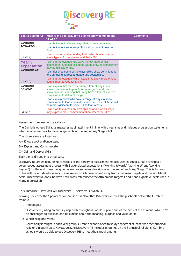

| <b>Year 3 Summer 2</b>                                         | What is the best way for a Sikh to show commitment<br>to God?                                                                                                                                                                                                                                                                                                                                                                                                                                    | <b>Comments</b> |
|----------------------------------------------------------------|--------------------------------------------------------------------------------------------------------------------------------------------------------------------------------------------------------------------------------------------------------------------------------------------------------------------------------------------------------------------------------------------------------------------------------------------------------------------------------------------------|-----------------|
| <b>WORKING</b><br><b>TOWARDS</b>                               | I can talk about different ways that I show commitment.<br>I can talk about some ways Sikhs show commitment to<br>God.                                                                                                                                                                                                                                                                                                                                                                           |                 |
| (Level 2)                                                      | I can show an understanding that Sikhs choose different<br>levels/types of commitment and that's OK.                                                                                                                                                                                                                                                                                                                                                                                             |                 |
| <b>Year 3</b><br>expectation<br><b>WORKING AT</b><br>(Level 3) | can start to evaluate the ways I show more or less<br>commitment and can talk about when showing commitment<br>may be difficult for me.<br>I can describe some of the ways Sikhs show commitment<br>to God, using correct language and vocabulary.<br>I can start to evaluate which ways may show more or less<br>commitment to God for Sikhs.                                                                                                                                                   |                 |
| <b>WORKING</b><br><b>BEYOND</b><br>(Level 4)                   | I can explain that there are many different ways I can<br>show commitment to people or to my goals and can<br>show an understanding that I may have different levels of<br>commitment to different things.<br>I can explain how Sikhs have a range of ways to show<br>commitment to God and understand that some of these will<br>be more significant to some Sikhs than others.<br>I can start to express my own opinion about which ways<br>may express more commitment than others for Sikhs. |                 |

#### Assessment process in the syllabus

The Cumbria Agreed Syllabus measures pupil attainment in line with three aims and includes progression statements which enable teachers to make judgements at the end of Key Stages 1-3

The three aims are listed as

- A Know about andUnderstand
- B Express and Communicate
- C Gain and Deploy Skills

Each aim is divided into three parts

Discovery RE 3rd edition, being conscious of the variety of assessment models used in schools, has developed a colour-coded assessment process with 3 age-related expectations ('working towards', 'working at' and 'working beyond') for the end of each enquiry as well as summary descriptors at the end of each Key Stage. This is to keep in line with recent developments in assessment which have moved away from attainment targets and the eight-level scale. Discovery RE does, however, still cross-reference to the Attainment Targets 1 and 2 and eight level scale used in many older syllabi.

To summarise: How well will Discovery RE serve your syllabus?

Looking back over the 4 points of comparison it is clear that Discovery RE could help schools deliver the Cumbria syllabus.

1. Pedagogies

Discovery RE, using an enquiry approach throughout, would support one of the aims of the Cumbria syllabus 'to be challenged to question and be curious about the meaning, purpose and value of life.

2. Which religions when?

Christianity is taught in each year group. Cumbria schools need to study aspects of at least two other principal religions in depth up to Key Stage 2. As Discovery RE includes enquiries on the 6 principal religions, Cumbria schools would be able to use Discovery RE to meet their requirements.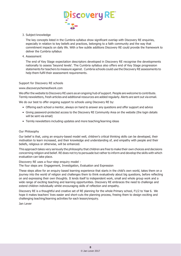

#### 3. Subject knowledge

The key concepts listed in the Cumbria syllabus show significant overlap with Discovery RE enquiries, especially in relation to key beliefs and practices, belonging to a faith community and the way that commitment impacts on daily life. With a few subtle additions Discovery RE could provide the framework to deliver the Cumbria syllabus

4. Assessment

The end of Key Stage expectation descriptors developed in Discovery RE recognise the developments nationally to assess 'beyond levels'. The Cumbria syllabus also offers end of Key Stage progression statements for teachers to measure against. Cumbria schools could use the Discovery RE assessments to help them fulfil their assessment requirements.

#### Support for Discovery RE schools

#### [www.discoveryschemeofwork.com](http://www.discoveryschemeofwork.com/)

We offer the website to Discovery RE users as an ongoing hub of support. People are welcome to contribute. Termly newsletters, fresh articles and additional resources are added regularly. Alerts are sent out via email.

We do our best to offer ongoing support to schools using Discovery RE by:

- Offering each school a mentor, always on hand to answer any questions and offer support and advice
- Giving password-protected access to the Discovery RE Community Area on the website (the login details will be sent via email)
- Termly newsletters including updates and more teaching/learning ideas

#### Our Philosophy

Our belief is that, using an enquiry-based model well, children's critical thinking skills can be developed, their motivation to learn increased, and their knowledge and understanding of, and empathy with people and their beliefs, religious or otherwise, will be enhanced.

This approach takes very seriously the philosophy that children are free to make their own choices and decisions concerning religion and belief. RE does not try to persuade but rather to inform and develop the skills with which evaluation can take place.

Discovery RE uses a four-step enquiry model -

The four steps are: Engagement, Investigation, Evaluation and Expression

These steps allow for an enquiry based learning experience that starts in the child's own world, takes them on a journey into the world of religion and challenges them to think evaluatively about big questions, before reflecting on and expressing their own thoughts. It lends itself to independent work, small and whole group work and a wide range of exciting teaching and learning opportunities. Discovery RE embraces the need to challenge and extend children individually whilst encouraging skills of reflection and empathy.

Discovery RE is a thoughtful and creative set of RE planning for the whole Primary school, F1/2 to Year 6. We hope it makes teachers' lives easier and short-cuts the planning process, freeing them to design exciting and challenging teaching/learning activities for each lesson/enquiry.

Jan Lever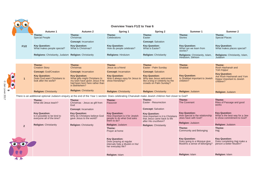|                  | $\bullet$      | <b>Overview Years F1/2 to Year 6</b>                                                                                                                 |                                                                                                                                                                            |                                                                                                            |                                                                                                                                          |                                                                                                     |                                                                                              |
|------------------|----------------|------------------------------------------------------------------------------------------------------------------------------------------------------|----------------------------------------------------------------------------------------------------------------------------------------------------------------------------|------------------------------------------------------------------------------------------------------------|------------------------------------------------------------------------------------------------------------------------------------------|-----------------------------------------------------------------------------------------------------|----------------------------------------------------------------------------------------------|
|                  |                | Autumn 1                                                                                                                                             | Autumn 2                                                                                                                                                                   | Spring 1                                                                                                   | <b>Spring 2</b>                                                                                                                          | Summer 1                                                                                            | Summer 2                                                                                     |
|                  |                | Theme:<br><b>Special People</b>                                                                                                                      | Theme:<br>Christmas                                                                                                                                                        | Theme:<br>Celebrations                                                                                     | Theme:<br>Easter<br><b>Concept: Salvation</b>                                                                                            | Theme:<br><b>Stories</b>                                                                            | Theme:<br><b>Special Places</b>                                                              |
|                  | F1/2           | <b>Key Question:</b><br>What makes people special?                                                                                                   | <b>Concept: Incarnation</b><br><b>Key Question:</b><br>What is Christmas?                                                                                                  | <b>Key Question:</b><br>How do people celebrate?                                                           | <b>Key Question:</b><br>What is Easter?                                                                                                  | <b>Key Question:</b><br>What can we learn from<br>stories?                                          | <b>Key Question:</b><br>What makes places special?                                           |
|                  |                | Religions: Christianity, Judaism Religion: Christianity                                                                                              |                                                                                                                                                                            | <b>Religions: Hinduism</b>                                                                                 | <b>Religion: Christianity</b>                                                                                                            | Religions: Christianity, Islam,<br>Hinduism, Sikhism                                                | <b>Religions: Christianity, Islam,</b><br>Judaism                                            |
|                  |                |                                                                                                                                                      |                                                                                                                                                                            |                                                                                                            |                                                                                                                                          |                                                                                                     |                                                                                              |
|                  |                | Theme:<br><b>Creation Story</b>                                                                                                                      | Theme:<br>Christmas                                                                                                                                                        | Theme:<br>Jesus as a friend                                                                                | Theme:<br>Easter - Palm Sunday                                                                                                           | Theme:<br>Shabbat                                                                                   | Theme:<br>Rosh Hashanah and<br>Yom Kippur                                                    |
| O Jan Lever 2017 |                | <b>Concept: God/Creation</b><br><b>Key Question:</b><br>Does God want Christians to<br>look after the world?                                         | <b>Concept: Incarnation</b><br><b>Key Question:</b><br>What gifts might Christians In<br>my town have given Jesus if he<br>had been born here rather than<br>in Bethlehem? | <b>Concept: Incarnation</b><br><b>Key Question:</b><br>Was it always easy for Jesus to<br>show friendship? | <b>Concept: Salvation</b><br><b>Kev Question:</b><br>Why was Jesus welcomed<br>like a king or celebrity by the<br>crowds on Palm Sunday? | <b>Key Question:</b><br>Is Shabbat important to Jewish<br>children?                                 | <b>Key Question:</b><br>Are Rosh Hashanah and Yom<br>Kippur important to Jewish<br>children? |
|                  |                | <b>Religion: Christianity</b>                                                                                                                        | <b>Religion: Christianity</b>                                                                                                                                              | <b>Religion: Christianity</b>                                                                              | <b>Religion: Christianity</b>                                                                                                            | <b>Religion: Judaism</b>                                                                            | Religion: Judaism                                                                            |
|                  |                | There is an additional optional Judaism enquiry at the end of the Year 1 section: Does celebrating Chanukah make Jewish children feel closer to God? |                                                                                                                                                                            |                                                                                                            |                                                                                                                                          |                                                                                                     |                                                                                              |
|                  |                | Theme:<br>What did Jesus teach?                                                                                                                      | Theme:<br>Christmas - Jesus as gift from<br>God                                                                                                                            | Theme:<br>Passover                                                                                         | Theme:<br>Easter - Resurrection<br><b>Concept: Salvation</b>                                                                             | Theme:<br><b>The Covenant</b>                                                                       | Theme:<br>Rites of Passage and good<br>works                                                 |
|                  |                | <b>Key Question:</b><br>Is it possible to be kind to<br>everyone all of the time?                                                                    | <b>Concept: Incarnation</b><br><b>Key Question:</b><br>Why do Christians believe God<br>gave Jesus to the world?                                                           | <b>Key Question:</b><br>How important is it for Jewish<br>people to do what God asks<br>them to do?        | <b>Key Question:</b><br>How important is it to Christians<br>that Jesus came back to life<br>after His crucifixion?                      | <b>Kev Question:</b><br>How special is the relationship<br>Jews have with God?<br>Religion: Judaism | <b>Key Question:</b><br>What is the best way for a Jew<br>to show commitment to God?         |
|                  | $\overline{2}$ | <b>Religion: Christianity</b>                                                                                                                        | <b>Religion: Christianity</b>                                                                                                                                              | Religion: Judaism                                                                                          | <b>Religion: Christianity</b>                                                                                                            |                                                                                                     | Religion: Judaism                                                                            |
|                  |                |                                                                                                                                                      |                                                                                                                                                                            | Theme:<br>Prayer at home                                                                                   |                                                                                                                                          | Theme:<br>Community and Belonging                                                                   | Theme:<br>Hajj                                                                               |
|                  |                |                                                                                                                                                      |                                                                                                                                                                            | <b>Key Question:</b><br>Does praying at regular<br>intervals help a Muslim in his/<br>her everyday life?   |                                                                                                                                          | <b>Key Question:</b><br>Does going to a Mosque give<br>Muslims a sense of belonging?                | <b>Key Question:</b><br>Does completing Hajj make a<br>person a better Muslim?               |
|                  |                |                                                                                                                                                      |                                                                                                                                                                            | <b>Religion: Islam</b>                                                                                     |                                                                                                                                          | <b>Religion: Islam</b>                                                                              | Religion: Islam                                                                              |
|                  | <b>TA</b>      |                                                                                                                                                      |                                                                                                                                                                            |                                                                                                            |                                                                                                                                          |                                                                                                     |                                                                                              |

 $\left. \right.$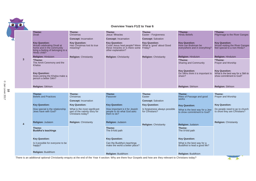#### **Overview Years F1/2 to Year 6**

|                |                                                                                                                                       |                                                                                     | <b>Overview Years F1/2 to Year 6</b>                                                                                                     |                                                   |                                                                             |                                                                                         |
|----------------|---------------------------------------------------------------------------------------------------------------------------------------|-------------------------------------------------------------------------------------|------------------------------------------------------------------------------------------------------------------------------------------|---------------------------------------------------|-----------------------------------------------------------------------------|-----------------------------------------------------------------------------------------|
|                | Theme:<br><b>Divali</b>                                                                                                               | Theme:<br>Christmas                                                                 | Theme:<br>Jesus' Miracles                                                                                                                | Theme:<br>Easter - Forgiveness                    | *Theme:<br><b>Hindu Beliefs</b>                                             | *Theme:<br>Pilgrimage to the River Ganges                                               |
|                |                                                                                                                                       | <b>Concept: Incarnation</b>                                                         | <b>Concept: Incarnation</b>                                                                                                              | <b>Concept: Salvation</b>                         |                                                                             |                                                                                         |
|                | <b>Key Question:</b><br>Would celebrating Divali at<br>home and in the community<br>bring a feeling of belonging to a<br>Hindu child? | <b>Key Question:</b><br>Has Christmas lost its true<br>meaning?                     | <b>Key Question:</b><br>Could Jesus heal people? Were What is 'good' about Good<br>these miracles or is there some<br>other explanation? | <b>Key Question:</b><br>Friday?                   | <b>Key Question:</b><br>How can Brahman be<br>everywhere and in everything? | <b>Key Question:</b><br>Would visiting the River Ganges<br>feel special to a non-Hindu? |
|                | <b>Religion: Hinduism</b>                                                                                                             | <b>Religion: Christianity</b>                                                       | <b>Religion: Christianity</b>                                                                                                            | <b>Religion: Christianity</b>                     | <b>Religion: Hinduism</b>                                                   | Religion: Hinduism                                                                      |
| $\mathbf{3}$   | *Theme:<br>The Amrit Ceremony and the<br>Khalsa                                                                                       |                                                                                     |                                                                                                                                          |                                                   | *Theme:<br><b>Sharing and Community</b>                                     | *Theme:<br><b>Prayer and Worship</b>                                                    |
|                | <b>Key Question:</b><br>Does joining the Khalsa make a<br>person a better Sikh?                                                       |                                                                                     |                                                                                                                                          |                                                   | <b>Key Question:</b><br>Do Sikhs think it is important to<br>share?         | <b>Key Question:</b><br>What is the best way for a Sikh to<br>show commitment to God?   |
|                | Religion: Sikhism                                                                                                                     |                                                                                     |                                                                                                                                          |                                                   | Religion: Sikhism                                                           | Religion: Sikhism                                                                       |
|                |                                                                                                                                       |                                                                                     |                                                                                                                                          |                                                   |                                                                             |                                                                                         |
|                | Theme:<br><b>Beliefs and Practices</b>                                                                                                | Theme:<br>Christmas                                                                 | Theme:<br>Passover                                                                                                                       | Theme:<br>Easter                                  | Theme:<br>Rites of Passage and good                                         | Theme:<br>Prayer and Worship                                                            |
|                |                                                                                                                                       | <b>Concept: Incarnation</b>                                                         |                                                                                                                                          | <b>Concept: Salvation</b>                         | works                                                                       |                                                                                         |
|                | <b>Key Question:</b>                                                                                                                  | <b>Key Question:</b>                                                                | <b>Key Question:</b>                                                                                                                     | <b>Key Question:</b>                              | <b>Key Question:</b>                                                        | <b>Key Question:</b>                                                                    |
|                | How special is the relationship<br>Jews have with God?                                                                                | What is the most significant<br>part of the nativity story for<br>Christians today? | How important is it for Jewish<br>people to do what God asks<br>them to do?                                                              | Is forgiveness always possible<br>for Christians? | What is the best way for a Jew<br>to show commitment to God?                | Do people need to go to church<br>to show they are Christians?                          |
| $\overline{4}$ | <b>Religion: Judaism</b>                                                                                                              | <b>Religion: Christianity</b>                                                       | <b>Religion: Judaism</b>                                                                                                                 | <b>Religion: Christianity</b>                     | <b>Religion: Judaism</b>                                                    | <b>Religion: Christianity</b>                                                           |
|                | Theme:<br><b>Buddha's teachings</b>                                                                                                   |                                                                                     | Theme:<br>The 8-fold path                                                                                                                |                                                   | Theme:<br>The 8-fold path                                                   |                                                                                         |
|                | <b>Key Question:</b>                                                                                                                  |                                                                                     | <b>Key Question:</b>                                                                                                                     |                                                   | <b>Key Question:</b>                                                        |                                                                                         |
|                | Is it possible for everyone to be<br>happy?                                                                                           |                                                                                     | Can the Buddha's teachings<br>make the world a better place?                                                                             |                                                   | What is the best way for a<br>Buddhist to lead a good life?                 |                                                                                         |
|                | <b>Religion: Buddhism</b>                                                                                                             |                                                                                     |                                                                                                                                          |                                                   |                                                                             |                                                                                         |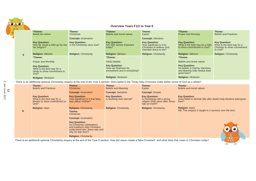#### **Overview Years F1/2 to Year 6**

|                | *Theme:<br>Belief into action                                                                                                                                          | Theme:<br>Christmas                                                           | *Theme:<br>Beliefs and moral values                                         | Theme:<br>Easter                                                                                                | *Theme:<br><b>Prayer and Worship</b>                                                               | Theme:<br><b>Beliefs and Practices</b>                                                        |
|----------------|------------------------------------------------------------------------------------------------------------------------------------------------------------------------|-------------------------------------------------------------------------------|-----------------------------------------------------------------------------|-----------------------------------------------------------------------------------------------------------------|----------------------------------------------------------------------------------------------------|-----------------------------------------------------------------------------------------------|
|                |                                                                                                                                                                        | <b>Concept: Incarnation</b>                                                   |                                                                             | <b>Concept: Salvation</b>                                                                                       |                                                                                                    |                                                                                               |
|                | <b>Key Question:</b><br>How far would a Sikh go for his/<br>her religion?                                                                                              | <b>Key Question:</b><br>Is the Christmas story true?                          | <b>Key Question:</b><br>Are Sikh stories important<br>today?                | <b>Key Question:</b><br>How significant is it for<br><b>Christians to believe God</b><br>intended Jesus to die? | <b>Key Question:</b><br>What is the best way for a Sikh<br>to show commitment to God?              | <b>Key Question:</b><br>What is the best way for a<br>Christian to show commitment<br>to God? |
| $5\phantom{1}$ | <b>Religion: Sikhism</b>                                                                                                                                               | <b>Religion: Christianity</b>                                                 | <b>Religion: Sikhism</b>                                                    | <b>Religion: Christianity</b>                                                                                   | <b>Religion: Sikhism</b>                                                                           | <b>Religion: Christianity</b>                                                                 |
|                | *Theme:                                                                                                                                                                |                                                                               | *Theme:                                                                     |                                                                                                                 | *Theme:                                                                                            |                                                                                               |
|                | <b>Prayer and Worship</b>                                                                                                                                              |                                                                               | <b>Hindu Beliefs</b>                                                        |                                                                                                                 | Beliefs and moral values                                                                           |                                                                                               |
|                | <b>Key Question:</b><br>What is the best way for a<br>Hindu to show commitment to<br>God?                                                                              |                                                                               | <b>Key Question:</b><br>How can Brahman be<br>everywhere and in everything? |                                                                                                                 | <b>Key Question:</b><br>Do beliefs in Karma, Samsara<br>and Moksha help Hindus lead<br>good lives? |                                                                                               |
|                | <b>Religion: Hinduism</b>                                                                                                                                              |                                                                               | <b>Religion: Hinduism</b>                                                   |                                                                                                                 | <b>Religion: Hinduism</b>                                                                          |                                                                                               |
|                | There is an additional optional Christianity enquiry at the end of the Year 5 section: Does belief in the Trinity help Christians make better sense of God as a whole? |                                                                               |                                                                             |                                                                                                                 |                                                                                                    |                                                                                               |
|                | Theme:<br><b>Beliefs and Practices</b>                                                                                                                                 | Theme:<br>Christmas                                                           | Theme:<br><b>Beliefs and Meaning</b>                                        | Theme:<br>Easter                                                                                                | Theme:<br>Beliefs and moral values                                                                 |                                                                                               |
|                |                                                                                                                                                                        | <b>Concept: Incarnation</b>                                                   | <b>Concept: Salvation</b>                                                   | <b>Concept: Gospel</b>                                                                                          |                                                                                                    |                                                                                               |
|                | <b>Key Question:</b><br>What is the best way for a<br>Muslim to show commitment to<br>God?                                                                             | <b>Key Question:</b><br>How significant is it that Mary<br>was Jesus' mother? | <b>Key Question:</b><br>Is anything ever eternal?                           | <b>Key Question:</b><br>Is Christianity still a strong<br>religion 2000 years after Jesus<br>was on Earth?      | <b>Key Question:</b><br>Does belief in Akhirah (life after death) help Muslims lead good<br>lives? |                                                                                               |
|                | <b>Religion: Islam</b>                                                                                                                                                 | <b>Religion: Christianity</b>                                                 | <b>Religion: Christianity</b>                                               | <b>Religion: Christianity</b>                                                                                   | <b>Religion: Islam</b>                                                                             |                                                                                               |
| 6              |                                                                                                                                                                        | Theme:<br>Christmas                                                           |                                                                             |                                                                                                                 | NB: This enquiry is taught in 2 sections over the term                                             |                                                                                               |
|                |                                                                                                                                                                        | <b>Concept: Incarnation</b>                                                   |                                                                             |                                                                                                                 |                                                                                                    |                                                                                               |



There is an additional optional Christianity enquiry at the end of the Year 6 section: How did Jesus create a 'New Covenant' and what does that mean to Christians today?

**Key Question:**

**Religion:** Christianity

Do Christmas celebrations and traditions help Christians understand who Jesus was and why he was born?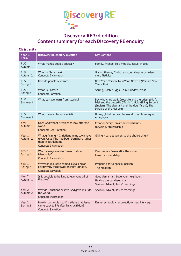

# **Discovery RE3rd edition Content summary for each Discovery RE enquiry**

# **Christianity**

| Year &<br>Term       | <b>Discovery RE enquiry question</b>                                                                                                     | <b>Key Content</b>                                                                                                                                                                           |
|----------------------|------------------------------------------------------------------------------------------------------------------------------------------|----------------------------------------------------------------------------------------------------------------------------------------------------------------------------------------------|
| F1/2<br>Autumn 1     | What makes people special?                                                                                                               | Family, friends, role models, Jesus, Moses                                                                                                                                                   |
| F1/2<br>Autumn 2     | What is Christmas?<br>Concept: Incarnation                                                                                               | Giving, thanks, Christmas story, shepherds, wise<br>men, Nativity                                                                                                                            |
| F1/2<br>Spring 1     | How do people celebrate?                                                                                                                 | New Year, Chinese New Year, Nowruz (Persian New<br>Year), Holi                                                                                                                               |
| F1/2<br>Spring 2     | What is Faster?<br>Concept: Salvation                                                                                                    | Spring, Easter Eggs, Palm Sunday, cross                                                                                                                                                      |
| F1/2<br>Summer 1     | What can we learn from stories?                                                                                                          | Boy who cried wolf, Crocodile and the priest (Sikh),<br>Bilal and the butterfly (Muslim), Gold Giving Serpent<br>(Indian), The elephant and the dog (Asian), The<br>parable of the lost coin |
| F1/2<br>Summer 2     | What makes places special?                                                                                                               | Home, global homes, the world, church, mosque,<br>synagogue                                                                                                                                  |
| Year $1$<br>Autumn 1 | Does God want Christians to look after the<br>world?<br>Concept: God/Creation                                                            | Creation Story - environmental issues<br>recycling/ stewardship                                                                                                                              |
| Year $1$<br>Autumn 2 | What gifts might Christians in my town have<br>given Jesus if he had been born here rather<br>than in Bethlehem?<br>Concept: Incarnation | Giving - care taken as to the choice of gift                                                                                                                                                 |
| Year 1<br>Spring 1   | Was it always easy for Jesus to show<br>friendship?<br>Concept: Incarnation                                                              | Zacchaeus - Jesus stills the storm<br>Lazarus - friendship                                                                                                                                   |
| Year 1<br>Spring 2   | Why was Jesus welcomed like a king or<br>celebrity by the crowds on Palm Sunday?<br>Concept: Salvation                                   | Preparing for a special person<br>The Messiah                                                                                                                                                |
| Year 2<br>Autumn 1   | Is it possible to be kind to everyone all of<br>the time?                                                                                | Good Samaritan, Love your neighbour,<br>Healing the paralysed man<br>Saviour, Advent, Jesus' teachings                                                                                       |
| Year 2<br>Autumn 2   | Why do Christians believe God gave Jesus to<br>the world?<br>Concept: Incarnation                                                        | Saviour, Advent, Jesus' teachings                                                                                                                                                            |
| Year 2<br>Spring 2   | How important is it to Christians that Jesus<br>came back to life after his crucifixion?<br>Concept: Salvation                           | Easter symbols - resurrection- new life - egg                                                                                                                                                |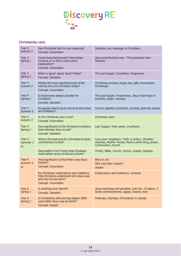

# **Christianity cont.**

| Year 3<br>Autumn 2                         | Has Christmas lost its true meaning?<br>Concept: Incarnation                                                                         | Symbols, key message to Christians                                                                                            |
|--------------------------------------------|--------------------------------------------------------------------------------------------------------------------------------------|-------------------------------------------------------------------------------------------------------------------------------|
| Year 3<br>Spring 1                         | Could Jesus heal people? Were these<br>miracles or is there some other<br>explanation?<br>Concept: Incarnation                       | Jesus and the blind man - The paralysed man -<br><b>Miracles</b>                                                              |
| Year 3<br>Spring 2                         | What is 'good' about Good Friday?<br>Concept: Salvation                                                                              | The Last Supper, Crucifixion, forgiveness                                                                                     |
| Year 4<br>Autumn 2                         | What is the most significant part of the<br>nativity story for Christians today?<br>Concept: Incarnation                             | Christmas symbols, angel, star, gifts, Incarnation,<br>Christingle                                                            |
| Year 4<br>Spring 2                         | Is forgiveness always possible for<br>Christians?<br>Concept: Salvation                                                              | The Last Supper, Forgiveness, Jesus' teachings on<br>enemies, anger, revenge,                                                 |
| Year 4<br>Summer 2                         | Do people need to go to church to show they<br>are Christians?                                                                       | Church, baptism, Eucharist, worship, daily life, prayer                                                                       |
| Year 5<br>Autumn 2                         | Is the Christmas story true?<br>Concept: Incarnation                                                                                 | Christmas story                                                                                                               |
| Year 5<br>Spring 2                         | How significant is it for Christians to believe<br>God intended Jesus to die?<br>Concept: Salvation                                  | Last Supper, Holy week, Crucifixion                                                                                           |
| Year 5<br>Summer 2<br><b>or</b>            | What is the best way for a Christian to show<br>commitment to God?                                                                   | Love your neighbour, Faith in action, Christian<br>charities, Mother Teresa, Martin Luther King, prayer,<br>Communion, church |
|                                            | Does belief in the Trinity help Christians<br>make better sense of God as a whole?                                                   | Trinity, Bible, church, hymns, creeds, Gospels                                                                                |
| Year 6<br>Autumn <sub>2</sub><br><b>or</b> | How significant is it that Mary was Jesus'<br>mother?<br>Concept: Incarnation                                                        | Mary in art<br>Why was Mary chosen?<br><b>Joseph</b>                                                                          |
|                                            | Do Christmas celebrations and traditions<br>help Christians understand who Jesus was<br>and why he was born?<br>Concept: Incarnation | Celebrations and traditions, symbols                                                                                          |
| Year 6<br>Spring 1                         | Is anything ever eternal?<br>Concept: Salvation                                                                                      | Jesus teachings and parables, Lost Son, 10 lepers, 2<br>Great commandments, agape, heaven, love                               |
| Year 6<br>Spring 2                         | Is Christianity still a strong religion 2000<br>years after Jesus was on Earth?<br>Concept: Gospel                                   | Festivals, charities, Christianity in society                                                                                 |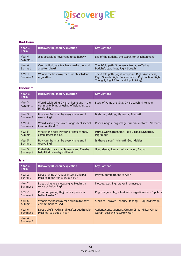

# **Buddhism**

| Year &<br>Term     | <b>Discovery RE enquiry question</b>                         | <b>Key Content</b>                                                                                                                                       |
|--------------------|--------------------------------------------------------------|----------------------------------------------------------------------------------------------------------------------------------------------------------|
| Year 4<br>Autumn 1 | Is it possible for everyone to be happy?                     | Life of the Buddha, the search for enlightenment                                                                                                         |
| Year 4<br>Spring 1 | Can the Buddha's teachings make the world<br>a better place? | The 8-fold path, 3 universal truths, suffering,<br>Buddha's teachings, Right Speech                                                                      |
| Year 4<br>Summer 1 | What is the best way for a Buddhist to lead<br>a good life   | The 8-fold path (Right Viewpoint, Right Awareness,<br>Right Speech, Right Concentration, Right Action, Right<br>Thought, Right Effort and Right Living). |

### **Hinduism**

| Year &<br>Term     | <b>Discovery RE enquiry question</b>                                                                       | <b>Key Content</b>                                             |
|--------------------|------------------------------------------------------------------------------------------------------------|----------------------------------------------------------------|
| Year 3<br>Autumn 1 | Would celebrating Divali at home and in the<br>community bring a feeling of belonging to a<br>Hindu child? | Story of Rama and Sita, Divali, Lakshmi, temple                |
| Year 3<br>Summer 1 | How can Brahman be everywhere and in<br>everything?                                                        | Brahman, deities, Ganesha, Trimurti                            |
| Year 3<br>Summer 2 | Would visiting the River Ganges feel special<br>to a non-Hindu?                                            | River Ganges, pilgrimage, funeral customs, Varanasi            |
| Year 5<br>Autumn 1 | What is the best way for a Hindu to show<br>commitment to God?                                             | Murtis, worship at home (Puja), 4 goals, Dharma,<br>Pilgrimage |
| Year 5<br>Spring 1 | How can Brahman be everywhere and in<br>everything?                                                        | Is there a soul?, trimurti, God, deities                       |
| Year 5<br>Summer 1 | Do beliefs in Karma, Samsara and Moksha<br>help Hindus lead good lives?                                    | Good deeds, Rama, re-incarnation, Sadhu                        |

#### **Islam**

| Year &<br><b>Term</b>         | <b>Discovery RE enquiry question</b>                                          | <b>Key Content</b>                                                                    |
|-------------------------------|-------------------------------------------------------------------------------|---------------------------------------------------------------------------------------|
| Year 2<br>Spring 1            | Does praying at regular intervals help a<br>Muslim in his/ her everyday life? | Prayer, commitment to Allah                                                           |
| Year 2<br>Summer 1            | Does going to a mosque give Muslims a<br>sense of belonging?                  | Mosque, washing, prayer in a mosque                                                   |
| Year <sub>2</sub><br>Summer 2 | Does completing Hajj make a person a<br>better Muslim?                        | Pilgrimage - Hajj - Makkah - significance - 5 pillars                                 |
| Year 6<br>Autumn 1            | What is the best way for a Muslim to show<br>commitment to God                | 5 pillars - prayer - charity -fasting - Hajj pilgrimage                               |
| Year 6<br>Summer 1            | Does belief in Akhirah (life after death) help<br>Muslims lead good lives?    | Actions/consequences, Greater Jihad, Military Jihad,<br>Qur'an, Lesser Jihad/Holy War |
| Year 6<br>Summer 2            |                                                                               |                                                                                       |